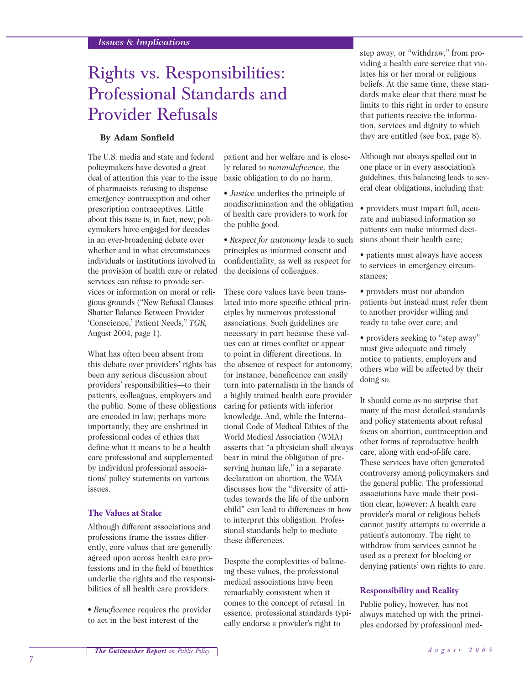# Rights vs. Responsibilities: Professional Standards and Provider Refusals

## **By Adam Sonfield**

The U.S. media and state and federal policymakers have devoted a great deal of attention this year to the issue of pharmacists refusing to dispense emergency contraception and other prescription contraceptives. Little about this issue is, in fact, new; policymakers have engaged for decades in an ever-broadening debate over whether and in what circumstances individuals or institutions involved in the provision of health care or related services can refuse to provide services or information on moral or religious grounds ("New Refusal Clauses Shatter Balance Between Provider 'Conscience,' Patient Needs," *TGR,* August 2004, page 1).

What has often been absent from this debate over providers' rights has been any serious discussion about providers' responsibilities—to their patients, colleagues, employers and the public. Some of these obligations are encoded in law; perhaps more importantly, they are enshrined in professional codes of ethics that define what it means to be a health care professional and supplemented by individual professional associations' policy statements on various issues.

## **The Values at Stake**

Although different associations and professions frame the issues differently, core values that are generally agreed upon across health care professions and in the field of bioethics underlie the rights and the responsibilities of all health care providers:

*• Beneficence* requires the provider to act in the best interest of the

patient and her welfare and is closely related to *nonmaleficence*, the basic obligation to do no harm.

*• Justice* underlies the principle of nondiscrimination and the obligation of health care providers to work for the public good.

*• Respect for autonomy* leads to such principles as informed consent and confidentiality, as well as respect for the decisions of colleagues.

These core values have been translated into more specific ethical principles by numerous professional associations. Such guidelines are necessary in part because these values can at times conflict or appear to point in different directions. In the absence of respect for autonomy, for instance, beneficence can easily turn into paternalism in the hands of a highly trained health care provider caring for patients with inferior knowledge. And, while the International Code of Medical Ethics of the World Medical Association (WMA) asserts that "a physician shall always bear in mind the obligation of preserving human life," in a separate declaration on abortion, the WMA discusses how the "diversity of attitudes towards the life of the unborn child" can lead to differences in how to interpret this obligation. Professional standards help to mediate these differences.

Despite the complexities of balancing these values, the professional medical associations have been remarkably consistent when it comes to the concept of refusal. In essence, professional standards typically endorse a provider's right to

step away, or "withdraw," from providing a health care service that violates his or her moral or religious beliefs. At the same time, these standards make clear that there must be limits to this right in order to ensure that patients receive the information, services and dignity to which they are entitled (see box, page 8).

Although not always spelled out in one place or in every association's guidelines, this balancing leads to several clear obligations, including that:

- providers must impart full, accurate and unbiased information so patients can make informed decisions about their health care;
- patients must always have access to services in emergency circumstances;
- providers must not abandon patients but instead must refer them to another provider willing and ready to take over care; and

• providers seeking to "step away" must give adequate and timely notice to patients, employers and others who will be affected by their doing so.

It should come as no surprise that many of the most detailed standards and policy statements about refusal focus on abortion, contraception and other forms of reproductive health care, along with end-of-life care. These services have often generated controversy among policymakers and the general public. The professional associations have made their position clear, however: A health care provider's moral or religious beliefs cannot justify attempts to override a patient's autonomy. The right to withdraw from services cannot be used as a pretext for blocking or denying patients' own rights to care.

## **Responsibility and Reality**

Public policy, however, has not always matched up with the principles endorsed by professional med-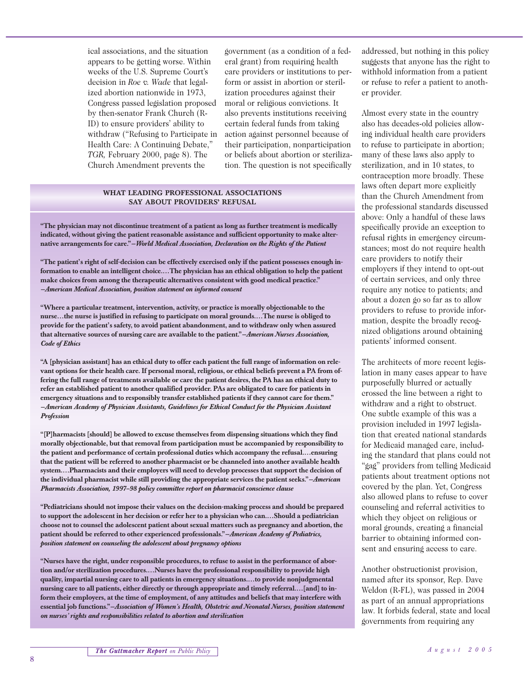ical associations, and the situation appears to be getting worse. Within weeks of the U.S. Supreme Court's decision in *Roe v. Wade* that legalized abortion nationwide in 1973, Congress passed legislation proposed by then-senator Frank Church (R-ID) to ensure providers' ability to withdraw ("Refusing to Participate in Health Care: A Continuing Debate," *TGR,* February 2000, page 8). The Church Amendment prevents the

government (as a condition of a federal grant) from requiring health care providers or institutions to perform or assist in abortion or sterilization procedures against their moral or religious convictions. It also prevents institutions receiving certain federal funds from taking action against personnel because of their participation, nonparticipation or beliefs about abortion or sterilization. The question is not specifically

#### **WHAT LEADING PROFESSIONAL ASSOCIATIONS SAY ABOUT PROVIDERS' REFUSAL**

**"The physician may not discontinue treatment of a patient as long as further treatment is medically indicated, without giving the patient reasonable assistance and sufficient opportunity to make alternative arrangements for care."***—World Medical Association, Declaration on the Rights of the Patient*

**"The patient's right of self-decision can be effectively exercised only if the patient possesses enough information to enable an intelligent choice.…The physician has an ethical obligation to help the patient make choices from among the therapeutic alternatives consistent with good medical practice."** *—American Medical Association, position statement on informed consent*

**"Where a particular treatment, intervention, activity, or practice is morally objectionable to the nurse…the nurse is justified in refusing to participate on moral grounds.…The nurse is obliged to provide for the patient's safety, to avoid patient abandonment, and to withdraw only when assured that alternative sources of nursing care are available to the patient."***—American Nurses Association, Code of Ethics*

**"A [physician assistant] has an ethical duty to offer each patient the full range of information on relevant options for their health care. If personal moral, religious, or ethical beliefs prevent a PA from offering the full range of treatments available or care the patient desires, the PA has an ethical duty to refer an established patient to another qualified provider. PAs are obligated to care for patients in emergency situations and to responsibly transfer established patients if they cannot care for them."** *—American Academy of Physician Assistants, Guidelines for Ethical Conduct for the Physician Assistant Profession*

**"[P]harmacists [should] be allowed to excuse themselves from dispensing situations which they find morally objectionable, but that removal from participation must be accompanied by responsibility to the patient and performance of certain professional duties which accompany the refusal.…ensuring that the patient will be referred to another pharmacist or be channeled into another available health system.…Pharmacists and their employers will need to develop processes that support the decision of the individual pharmacist while still providing the appropriate services the patient seeks."***—American Pharmacists Association, 1997–98 policy committee report on pharmacist conscience clause*

**"Pediatricians should not impose their values on the decision-making process and should be prepared to support the adolescent in her decision or refer her to a physician who can.…Should a pediatrician choose not to counsel the adolescent patient about sexual matters such as pregnancy and abortion, the patient should be referred to other experienced professionals."***—American Academy of Pediatrics, position statement on counseling the adolescent about pregnancy options*

**"Nurses have the right, under responsible procedures, to refuse to assist in the performance of abortion and/or sterilization procedures.…Nurses have the professional responsibility to provide high quality, impartial nursing care to all patients in emergency situations.…to provide nonjudgmental nursing care to all patients, either directly or through appropriate and timely referral.…[and] to inform their employers, at the time of employment, of any attitudes and beliefs that may interfere with essential job functions."***—Association of Women's Health, Obstetric and Neonatal Nurses, position statement on nurses' rights and responsibilities related to abortion and sterilization*

addressed, but nothing in this policy suggests that anyone has the right to withhold information from a patient or refuse to refer a patient to another provider.

Almost every state in the country also has decades-old policies allowing individual health care providers to refuse to participate in abortion; many of these laws also apply to sterilization, and in 10 states, to contraception more broadly. These laws often depart more explicitly than the Church Amendment from the professional standards discussed above: Only a handful of these laws specifically provide an exception to refusal rights in emergency circumstances; most do not require health care providers to notify their employers if they intend to opt-out of certain services, and only three require any notice to patients; and about a dozen go so far as to allow providers to refuse to provide information, despite the broadly recognized obligations around obtaining patients' informed consent.

The architects of more recent legislation in many cases appear to have purposefully blurred or actually crossed the line between a right to withdraw and a right to obstruct. One subtle example of this was a provision included in 1997 legislation that created national standards for Medicaid managed care, including the standard that plans could not "gag" providers from telling Medicaid patients about treatment options not covered by the plan. Yet, Congress also allowed plans to refuse to cover counseling and referral activities to which they object on religious or moral grounds, creating a financial barrier to obtaining informed consent and ensuring access to care.

Another obstructionist provision, named after its sponsor, Rep. Dave Weldon (R-FL), was passed in 2004 as part of an annual appropriations law. It forbids federal, state and local governments from requiring any